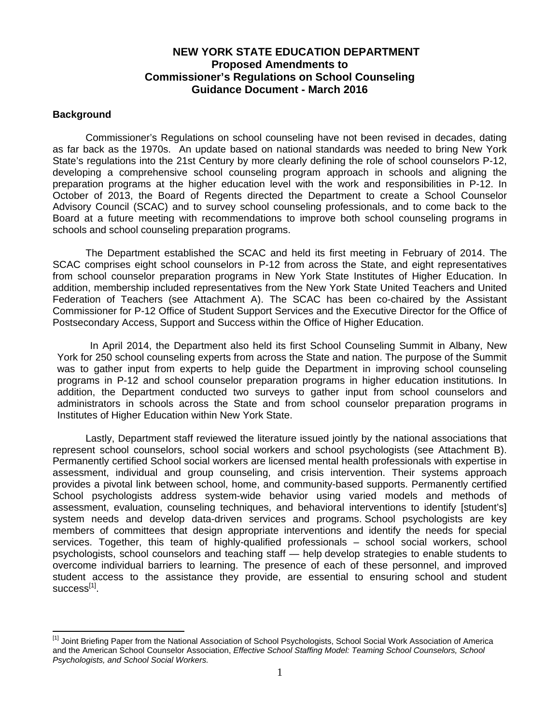## **NEW YORK STATE EDUCATION DEPARTMENT Proposed Amendments to Commissioner's Regulations on School Counseling Guidance Document - March 2016**

#### **Background**

 $\overline{a}$ 

Commissioner's Regulations on school counseling have not been revised in decades, dating as far back as the 1970s. An update based on national standards was needed to bring New York State's regulations into the 21st Century by more clearly defining the role of school counselors P-12, developing a comprehensive school counseling program approach in schools and aligning the preparation programs at the higher education level with the work and responsibilities in P-12. In October of 2013, the Board of Regents directed the Department to create a School Counselor Advisory Council (SCAC) and to survey school counseling professionals, and to come back to the Board at a future meeting with recommendations to improve both school counseling programs in schools and school counseling preparation programs.

The Department established the SCAC and held its first meeting in February of 2014. The SCAC comprises eight school counselors in P-12 from across the State, and eight representatives from school counselor preparation programs in New York State Institutes of Higher Education. In addition, membership included representatives from the New York State United Teachers and United Federation of Teachers (see Attachment A). The SCAC has been co-chaired by the Assistant Commissioner for P-12 Office of Student Support Services and the Executive Director for the Office of Postsecondary Access, Support and Success within the Office of Higher Education.

In April 2014, the Department also held its first School Counseling Summit in Albany, New York for 250 school counseling experts from across the State and nation. The purpose of the Summit was to gather input from experts to help guide the Department in improving school counseling programs in P-12 and school counselor preparation programs in higher education institutions. In addition, the Department conducted two surveys to gather input from school counselors and administrators in schools across the State and from school counselor preparation programs in Institutes of Higher Education within New York State.

represent school counselors, school social workers and school psychologists (see Attachment B). Lastly, Department staff reviewed the literature issued jointly by the national associations that Permanently certified School social workers are licensed mental health professionals with expertise in assessment, individual and group counseling, and crisis intervention. Their systems approach provides a pivotal link between school, home, and community-based supports. Permanently certified School psychologists address system-wide behavior using varied models and methods of assessment, evaluation, counseling techniques, and behavioral interventions to identify [student's] system needs and develop data-driven services and programs. School psychologists are key members of committees that design appropriate interventions and identify the needs for special services. Together, this team of highly-qualified professionals – school social workers, school psychologists, school counselors and teaching staff — help develop strategies to enable students to overcome individual barriers to learning. The presence of each of these personnel, and improved student access to the assistance they provide, are essential to ensuring school and student  $success^{[1]}$ .

<sup>&</sup>lt;sup>[1]</sup> Joint Briefing Paper from the National Association of School Psychologists, School Social Work Association of America and the American School Counselor Association, *Effective School Staffing Model: Teaming School Counselors, School Psychologists, and School Social Workers.*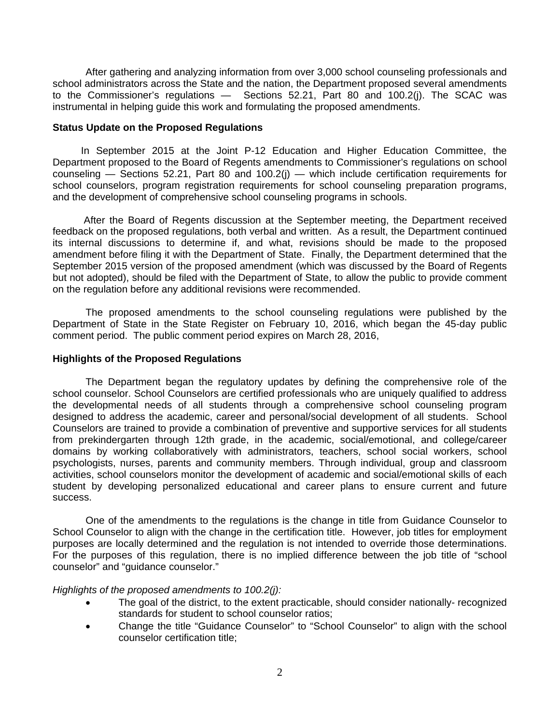After gathering and analyzing information from over 3,000 school counseling professionals and school administrators across the State and the nation, the Department proposed several amendments to the Commissioner's regulations — Sections 52.21, Part 80 and 100.2(j). The SCAC was instrumental in helping guide this work and formulating the proposed amendments.

#### **Status Update on the Proposed Regulations**

In September 2015 at the Joint P-12 Education and Higher Education Committee, the Department proposed to the Board of Regents amendments to Commissioner's regulations on school counseling — Sections 52.21, Part 80 and 100.2(j) — which include certification requirements for school counselors, program registration requirements for school counseling preparation programs, and the development of comprehensive school counseling programs in schools.

After the Board of Regents discussion at the September meeting, the Department received feedback on the proposed regulations, both verbal and written. As a result, the Department continued its internal discussions to determine if, and what, revisions should be made to the proposed amendment before filing it with the Department of State. Finally, the Department determined that the September 2015 version of the proposed amendment (which was discussed by the Board of Regents but not adopted), should be filed with the Department of State, to allow the public to provide comment on the regulation before any additional revisions were recommended.

The proposed amendments to the school counseling regulations were published by the Department of State in the State Register on February 10, 2016, which began the 45-day public comment period. The public comment period expires on March 28, 2016,

### **Highlights of the Proposed Regulations**

The Department began the regulatory updates by defining the comprehensive role of the school counselor. School Counselors are certified professionals who are uniquely qualified to address the developmental needs of all students through a comprehensive school counseling program designed to address the academic, career and personal/social development of all students. School Counselors are trained to provide a combination of preventive and supportive services for all students from prekindergarten through 12th grade, in the academic, social/emotional, and college/career domains by working collaboratively with administrators, teachers, school social workers, school psychologists, nurses, parents and community members. Through individual, group and classroom activities, school counselors monitor the development of academic and social/emotional skills of each student by developing personalized educational and career plans to ensure current and future success.

One of the amendments to the regulations is the change in title from Guidance Counselor to School Counselor to align with the change in the certification title. However, job titles for employment purposes are locally determined and the regulation is not intended to override those determinations. For the purposes of this regulation, there is no implied difference between the job title of "school counselor" and "guidance counselor."

*Highlights of the proposed amendments to 100.2(j):* 

- standards for student to school counselor ratios; The goal of the district, to the extent practicable, should consider nationally- recognized
- Change the title "Guidance Counselor" to "School Counselor" to align with the school counselor certification title;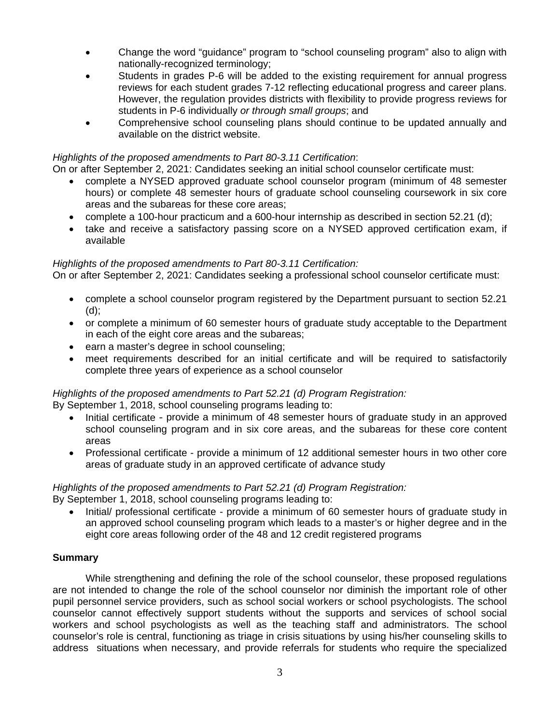- Change the word "guidance" program to "school counseling program" also to align with nationally-recognized terminology;
- Students in grades P-6 will be added to the existing requirement for annual progress reviews for each student grades 7-12 reflecting educational progress and career plans. However, the regulation provides districts with flexibility to provide progress reviews for students in P-6 individually *or through small groups*; and
- Comprehensive school counseling plans should continue to be updated annually and available on the district website.

### *Highlights of the proposed amendments to Part 80-3.11 Certification*:

On or after September 2, 2021: Candidates seeking an initial school counselor certificate must:

- complete a NYSED approved graduate school counselor program (minimum of 48 semester hours) or complete 48 semester hours of graduate school counseling coursework in six core areas and the subareas for these core areas;
- complete a 100-hour practicum and a 600-hour internship as described in section 52.21 (d);
- take and receive a satisfactory passing score on a NYSED approved certification exam, if available

#### *Highlights of the proposed amendments to Part 80-3.11 Certification:*

On or after September 2, 2021: Candidates seeking a professional school counselor certificate must:

- complete a school counselor program registered by the Department pursuant to section 52.21 (d);
- or complete a minimum of 60 semester hours of graduate study acceptable to the Department in each of the eight core areas and the subareas;
- earn a master's degree in school counseling;
- meet requirements described for an initial certificate and will be required to satisfactorily complete three years of experience as a school counselor

## *Highlights of the proposed amendments to Part 52.21 (d) Program Registration:*

By September 1, 2018, school counseling programs leading to:

- Initial certificate provide a minimum of 48 semester hours of graduate study in an approved school counseling program and in six core areas, and the subareas for these core content areas
- Professional certificate provide a minimum of 12 additional semester hours in two other core areas of graduate study in an approved certificate of advance study

## *Highlights of the proposed amendments to Part 52.21 (d) Program Registration:*

By September 1, 2018, school counseling programs leading to:

 Initial/ professional certificate - provide a minimum of 60 semester hours of graduate study in an approved school counseling program which leads to a master's or higher degree and in the eight core areas following order of the 48 and 12 credit registered programs

#### **Summary**

While strengthening and defining the role of the school counselor, these proposed regulations are not intended to change the role of the school counselor nor diminish the important role of other pupil personnel service providers, such as school social workers or school psychologists. The school counselor cannot effectively support students without the supports and services of school social workers and school psychologists as well as the teaching staff and administrators. The school counselor's role is central, functioning as triage in crisis situations by using his/her counseling skills to address situations when necessary, and provide referrals for students who require the specialized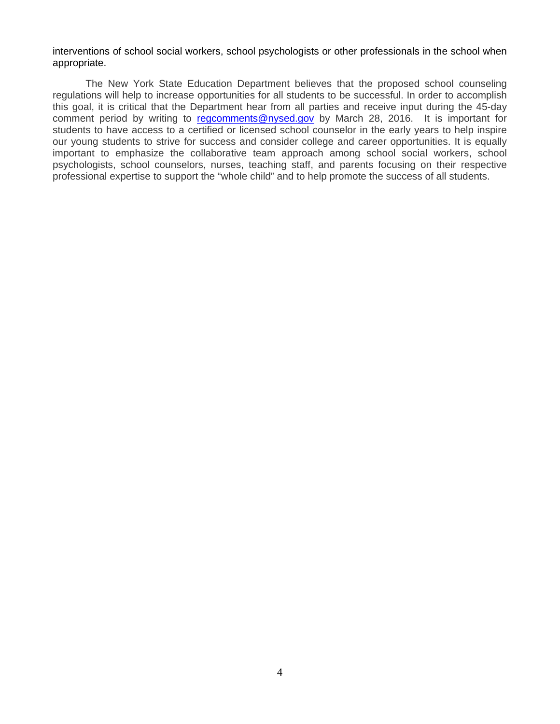appropriate. interventions of school social workers, school psychologists or other professionals in the school when

The New York State Education Department believes that the proposed school counseling regulations will help to increase opportunities for all students to be successful. In order to accomplish this goal, it is critical that the Department hear from all parties and receive input during the 45-day comment period by writing to regcomments@nysed.gov by March 28, 2016. It is important for students to have access to a certified or licensed school counselor in the early years to help inspire our young students to strive for success and consider college and career opportunities. It is equally important to emphasize the collaborative team approach among school social workers, school psychologists, school counselors, nurses, teaching staff, and parents focusing on their respective professional expertise to support the "whole child" and to help promote the success of all students.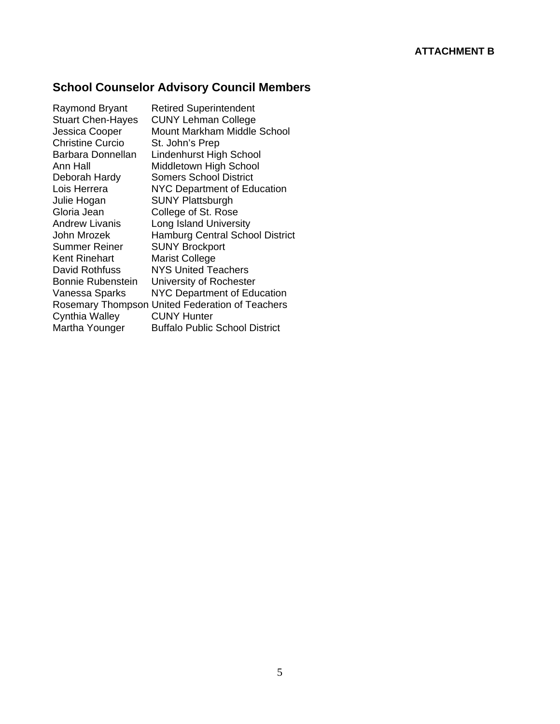# **School Counselor Advisory Council Members**

| Raymond Bryant           | <b>Retired Superintendent</b>                   |
|--------------------------|-------------------------------------------------|
| <b>Stuart Chen-Hayes</b> | <b>CUNY Lehman College</b>                      |
| Jessica Cooper           | <b>Mount Markham Middle School</b>              |
| <b>Christine Curcio</b>  | St. John's Prep                                 |
| Barbara Donnellan        | Lindenhurst High School                         |
| Ann Hall                 | Middletown High School                          |
| Deborah Hardy            | <b>Somers School District</b>                   |
| Lois Herrera             | <b>NYC Department of Education</b>              |
| Julie Hogan              | <b>SUNY Plattsburgh</b>                         |
| Gloria Jean              | College of St. Rose                             |
| Andrew Livanis           | Long Island University                          |
| John Mrozek              | <b>Hamburg Central School District</b>          |
| Summer Reiner            | <b>SUNY Brockport</b>                           |
| Kent Rinehart            | <b>Marist College</b>                           |
| David Rothfuss           | NYS United Teachers                             |
| Bonnie Rubenstein        | University of Rochester                         |
| Vanessa Sparks           | <b>NYC Department of Education</b>              |
|                          | Rosemary Thompson United Federation of Teachers |
| Cynthia Walley           | <b>CUNY Hunter</b>                              |
| Martha Younger           | <b>Buffalo Public School District</b>           |